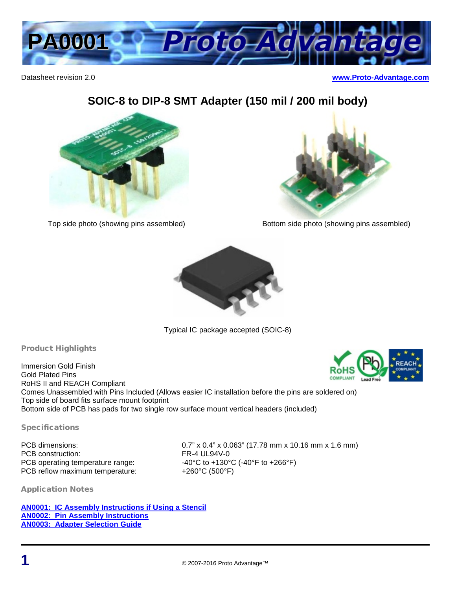

Datasheet revision 2.0 **[www.Proto-Advantage.com](http://www.proto-advantage.com/)**

## **SOIC-8 to DIP-8 SMT Adapter (150 mil / 200 mil body)**





Top side photo (showing pins assembled) Bottom side photo (showing pins assembled)



Typical IC package accepted (SOIC-8)

## Product Highlights

Immersion Gold Finish Gold Plated Pins RoHS II and REACH Compliant Comes Unassembled with Pins Included (Allows easier IC installation before the pins are soldered on) Top side of board fits surface mount footprint Bottom side of PCB has pads for two single row surface mount vertical headers (included)

Specifications

PCB operating temperature range: PCB reflow maximum temperature: +260°C (500°F)

PCB dimensions: 0.7" x 0.4" x 0.063" (17.78 mm x 10.16 mm x 1.6 mm) PCB construction:<br>
PCB operating temperature range:<br>  $PCB$  operating temperature range:<br>  $PCB$  operating temperature range:<br>  $PCB$  of  $PAC$  of  $PAC$  of  $PAC$  of  $PAC$  of  $PAC$  of  $PAC$  of  $PAC$  of  $PAC$  of  $PAC$  of  $PAC$  of  $PAC$  of  $PAC$ 

Application Notes

**[AN0001: IC Assembly](http://www.proto-advantage.com/store/datasheets/AN0001.pdf) Instructions if Using a Stencil [AN0002: Pin Assembly Instructions](http://www.proto-advantage.com/store/datasheets/AN0002.pdf) [AN0003: Adapter Selection Guide](http://www.proto-advantage.com/store/datasheets/AN0003.pdf)**

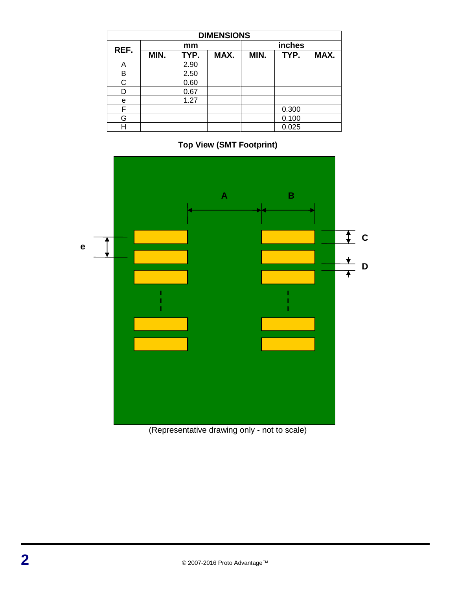| <b>DIMENSIONS</b> |      |      |      |        |       |      |
|-------------------|------|------|------|--------|-------|------|
| REF.              | mm   |      |      | inches |       |      |
|                   | MIN. | TYP. | MAX. | MIN.   | TYP.  | MAX. |
| A                 |      | 2.90 |      |        |       |      |
| B                 |      | 2.50 |      |        |       |      |
| C.                |      | 0.60 |      |        |       |      |
| D                 |      | 0.67 |      |        |       |      |
| e                 |      | 1.27 |      |        |       |      |
| F                 |      |      |      |        | 0.300 |      |
| G                 |      |      |      |        | 0.100 |      |
| н                 |      |      |      |        | 0.025 |      |

**Top View (SMT Footprint)**



(Representative drawing only - not to scale)